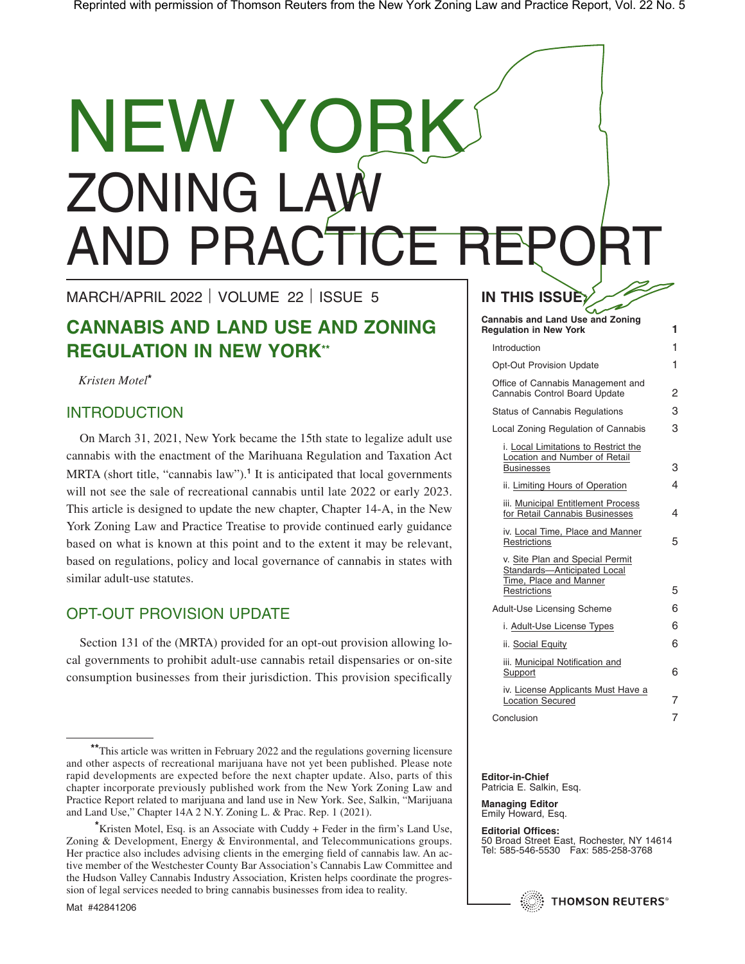# NEW YO ZONING LAW AND PRACTICE REP

MARCH/APRIL 2022 | VOLUME 22 | ISSUE 5

# **CANNABIS AND LAND USE AND ZONING REGULATION IN NEW YORK\*\***

*Kristen Motel***\***

## INTRODUCTION

On March 31, 2021, New York became the 15th state to legalize adult use cannabis with the enactment of the Marihuana Regulation and Taxation Act MRTA (short title, "cannabis law").**<sup>1</sup>** It is anticipated that local governments will not see the sale of recreational cannabis until late 2022 or early 2023. This article is designed to update the new chapter, Chapter 14-A, in the New York Zoning Law and Practice Treatise to provide continued early guidance based on what is known at this point and to the extent it may be relevant, based on regulations, policy and local governance of cannabis in states with similar adult-use statutes.

# OPT-OUT PROVISION UPDATE

Section 131 of the (MRTA) provided for an opt-out provision allowing local governments to prohibit adult-use cannabis retail dispensaries or on-site consumption businesses from their jurisdiction. This provision specifically

**\***Kristen Motel, Esq. is an Associate with Cuddy + Feder in the firm's Land Use, Zoning & Development, Energy & Environmental, and Telecommunications groups. Her practice also includes advising clients in the emerging field of cannabis law. An active member of the Westchester County Bar Association's Cannabis Law Committee and the Hudson Valley Cannabis Industry Association, Kristen helps coordinate the progression of legal services needed to bring cannabis businesses from idea to reality.

# **IN THIS ISSUE:**

**Cannabis and Land Use and Zoning Regulation in New York 1** Introduction 1 Opt-Out Provision Update 1 Office of Cannabis Management and Cannabis Control Board Update 2 Status of Cannabis Regulations 3 Local Zoning Regulation of Cannabis 3 i. Local Limitations to Restrict the Location and Number of Retail Businesses 3 ii. Limiting Hours of Operation 4 iii. Municipal Entitlement Process for Retail Cannabis Businesses 4 iv. Local Time, Place and Manner Restrictions 5 v. Site Plan and Special Permit Standards—Anticipated Local Time, Place and Manner Restrictions 5 Adult-Use Licensing Scheme 6 i. Adult-Use License Types 6 ii. Social Equity 6 iii. Municipal Notification and Support 6 iv. License Applicants Must Have a Location Secured 7 Conclusion 7

#### **Editor-in-Chief** Patricia E. Salkin, Esq.

**Managing Editor** Emily Howard, Esq.

**Editorial Offices:** 50 Broad Street East, Rochester, NY 14614 Tel: 585-546-5530 Fax: 585-258-3768



**<sup>\*\*</sup>**This article was written in February 2022 and the regulations governing licensure and other aspects of recreational marijuana have not yet been published. Please note rapid developments are expected before the next chapter update. Also, parts of this chapter incorporate previously published work from the New York Zoning Law and Practice Report related to marijuana and land use in New York. See, Salkin, "Marijuana and Land Use," Chapter 14A 2 N.Y. Zoning L. & Prac. Rep. 1 (2021).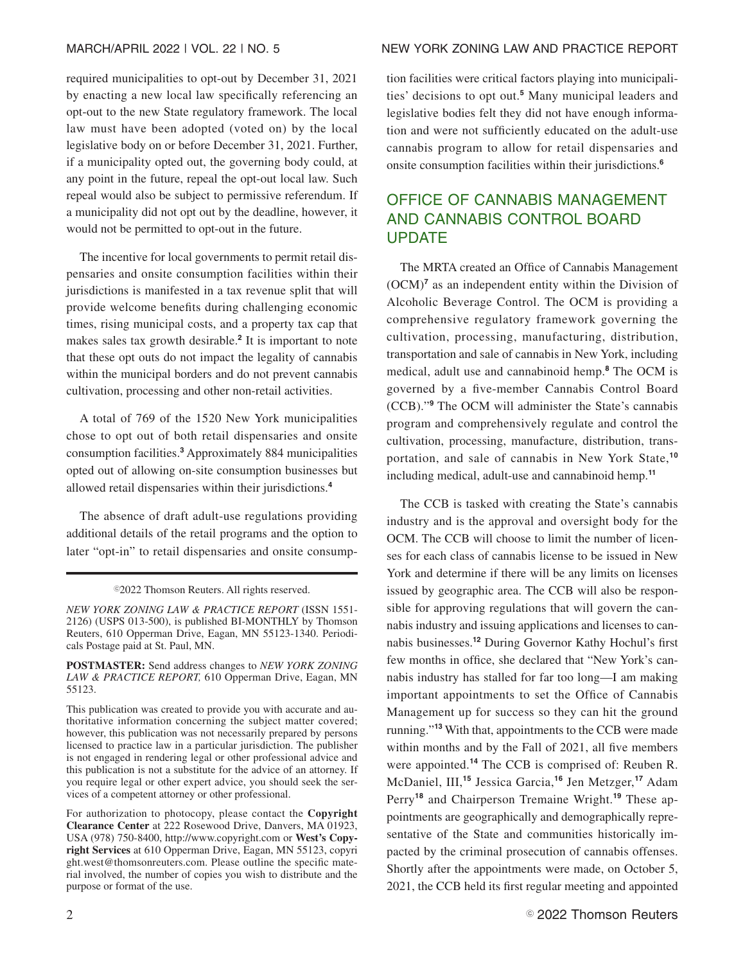required municipalities to opt-out by December 31, 2021 by enacting a new local law specifically referencing an opt-out to the new State regulatory framework. The local law must have been adopted (voted on) by the local legislative body on or before December 31, 2021. Further, if a municipality opted out, the governing body could, at any point in the future, repeal the opt-out local law. Such repeal would also be subject to permissive referendum. If a municipality did not opt out by the deadline, however, it would not be permitted to opt-out in the future.

The incentive for local governments to permit retail dispensaries and onsite consumption facilities within their jurisdictions is manifested in a tax revenue split that will provide welcome benefits during challenging economic times, rising municipal costs, and a property tax cap that makes sales tax growth desirable.**<sup>2</sup>** It is important to note that these opt outs do not impact the legality of cannabis within the municipal borders and do not prevent cannabis cultivation, processing and other non-retail activities.

A total of 769 of the 1520 New York municipalities chose to opt out of both retail dispensaries and onsite consumption facilities.**<sup>3</sup>** Approximately 884 municipalities opted out of allowing on-site consumption businesses but allowed retail dispensaries within their jurisdictions.**<sup>4</sup>**

The absence of draft adult-use regulations providing additional details of the retail programs and the option to later "opt-in" to retail dispensaries and onsite consump-

©2022 Thomson Reuters. All rights reserved.

*NEW YORK ZONING LAW & PRACTICE REPORT* (ISSN 1551- 2126) (USPS 013-500), is published BI-MONTHLY by Thomson Reuters, 610 Opperman Drive, Eagan, MN 55123-1340. Periodicals Postage paid at St. Paul, MN.

**POSTMASTER:** Send address changes to *NEW YORK ZONING LAW & PRACTICE REPORT,* 610 Opperman Drive, Eagan, MN 55123.

This publication was created to provide you with accurate and authoritative information concerning the subject matter covered; however, this publication was not necessarily prepared by persons licensed to practice law in a particular jurisdiction. The publisher is not engaged in rendering legal or other professional advice and this publication is not a substitute for the advice of an attorney. If you require legal or other expert advice, you should seek the services of a competent attorney or other professional.

For authorization to photocopy, please contact the **Copyright Clearance Center** at 222 Rosewood Drive, Danvers, MA 01923, USA (978) 750-8400, http://www.copyright.com or **West's Copyright Services** at 610 Opperman Drive, Eagan, MN 55123, copyri ght.west@thomsonreuters.com. Please outline the specific material involved, the number of copies you wish to distribute and the purpose or format of the use.

#### MARCH/APRIL 2022 | VOL. 22 | NO. 5 NEW YORK ZONING LAW AND PRACTICE REPORT

tion facilities were critical factors playing into municipalities' decisions to opt out.**<sup>5</sup>** Many municipal leaders and legislative bodies felt they did not have enough information and were not sufficiently educated on the adult-use cannabis program to allow for retail dispensaries and onsite consumption facilities within their jurisdictions.**<sup>6</sup>**

# OFFICE OF CANNABIS MANAGEMENT AND CANNABIS CONTROL BOARD UPDATE

The MRTA created an Office of Cannabis Management (OCM)**<sup>7</sup>** as an independent entity within the Division of Alcoholic Beverage Control. The OCM is providing a comprehensive regulatory framework governing the cultivation, processing, manufacturing, distribution, transportation and sale of cannabis in New York, including medical, adult use and cannabinoid hemp.**<sup>8</sup>** The OCM is governed by a five-member Cannabis Control Board (CCB)."**<sup>9</sup>** The OCM will administer the State's cannabis program and comprehensively regulate and control the cultivation, processing, manufacture, distribution, transportation, and sale of cannabis in New York State,**<sup>10</sup>** including medical, adult-use and cannabinoid hemp.**<sup>11</sup>**

The CCB is tasked with creating the State's cannabis industry and is the approval and oversight body for the OCM. The CCB will choose to limit the number of licenses for each class of cannabis license to be issued in New York and determine if there will be any limits on licenses issued by geographic area. The CCB will also be responsible for approving regulations that will govern the cannabis industry and issuing applications and licenses to cannabis businesses.**<sup>12</sup>** During Governor Kathy Hochul's first few months in office, she declared that "New York's cannabis industry has stalled for far too long—I am making important appointments to set the Office of Cannabis Management up for success so they can hit the ground running."**<sup>13</sup>** With that, appointments to the CCB were made within months and by the Fall of 2021, all five members were appointed.**<sup>14</sup>** The CCB is comprised of: Reuben R. McDaniel, III,**<sup>15</sup>** Jessica Garcia,**<sup>16</sup>** Jen Metzger,**<sup>17</sup>** Adam Perry**<sup>18</sup>** and Chairperson Tremaine Wright.**<sup>19</sup>** These appointments are geographically and demographically representative of the State and communities historically impacted by the criminal prosecution of cannabis offenses. Shortly after the appointments were made, on October 5, 2021, the CCB held its first regular meeting and appointed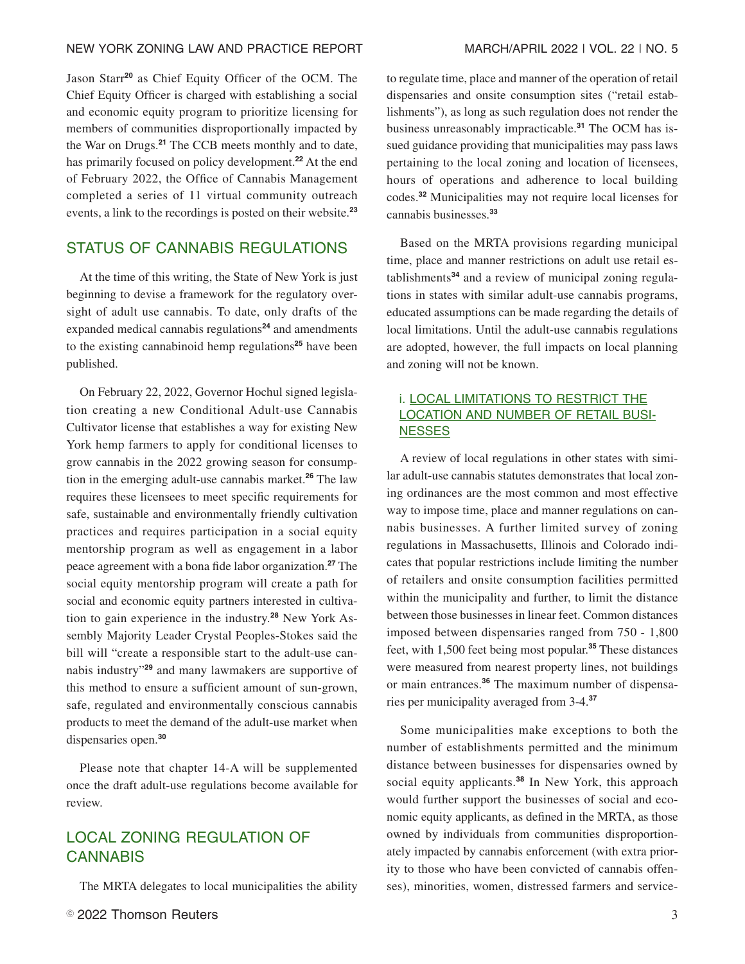#### NEW YORK ZONING LAW AND PRACTICE REPORT MARCH/APRIL 2022 | VOL. 22 | NO. 5

Jason Starr**<sup>20</sup>** as Chief Equity Officer of the OCM. The Chief Equity Officer is charged with establishing a social and economic equity program to prioritize licensing for members of communities disproportionally impacted by the War on Drugs.**<sup>21</sup>** The CCB meets monthly and to date, has primarily focused on policy development.**<sup>22</sup>** At the end of February 2022, the Office of Cannabis Management completed a series of 11 virtual community outreach events, a link to the recordings is posted on their website.**<sup>23</sup>**

### STATUS OF CANNABIS REGULATIONS

At the time of this writing, the State of New York is just beginning to devise a framework for the regulatory oversight of adult use cannabis. To date, only drafts of the expanded medical cannabis regulations**<sup>24</sup>** and amendments to the existing cannabinoid hemp regulations**<sup>25</sup>** have been published.

On February 22, 2022, Governor Hochul signed legislation creating a new Conditional Adult-use Cannabis Cultivator license that establishes a way for existing New York hemp farmers to apply for conditional licenses to grow cannabis in the 2022 growing season for consumption in the emerging adult-use cannabis market.**<sup>26</sup>** The law requires these licensees to meet specific requirements for safe, sustainable and environmentally friendly cultivation practices and requires participation in a social equity mentorship program as well as engagement in a labor peace agreement with a bona fide labor organization.**<sup>27</sup>** The social equity mentorship program will create a path for social and economic equity partners interested in cultivation to gain experience in the industry.**<sup>28</sup>** New York Assembly Majority Leader Crystal Peoples-Stokes said the bill will "create a responsible start to the adult-use cannabis industry"**<sup>29</sup>** and many lawmakers are supportive of this method to ensure a sufficient amount of sun-grown, safe, regulated and environmentally conscious cannabis products to meet the demand of the adult-use market when dispensaries open.**<sup>30</sup>**

Please note that chapter 14-A will be supplemented once the draft adult-use regulations become available for review.

# LOCAL ZONING REGULATION OF **CANNABIS**

The MRTA delegates to local municipalities the ability

to regulate time, place and manner of the operation of retail dispensaries and onsite consumption sites ("retail establishments"), as long as such regulation does not render the business unreasonably impracticable.**<sup>31</sup>** The OCM has issued guidance providing that municipalities may pass laws pertaining to the local zoning and location of licensees, hours of operations and adherence to local building codes.**<sup>32</sup>** Municipalities may not require local licenses for cannabis businesses.**<sup>33</sup>**

Based on the MRTA provisions regarding municipal time, place and manner restrictions on adult use retail establishments**<sup>34</sup>** and a review of municipal zoning regulations in states with similar adult-use cannabis programs, educated assumptions can be made regarding the details of local limitations. Until the adult-use cannabis regulations are adopted, however, the full impacts on local planning and zoning will not be known.

#### i. LOCAL LIMITATIONS TO RESTRICT THE LOCATION AND NUMBER OF RETAIL BUSI-**NESSES**

A review of local regulations in other states with similar adult-use cannabis statutes demonstrates that local zoning ordinances are the most common and most effective way to impose time, place and manner regulations on cannabis businesses. A further limited survey of zoning regulations in Massachusetts, Illinois and Colorado indicates that popular restrictions include limiting the number of retailers and onsite consumption facilities permitted within the municipality and further, to limit the distance between those businesses in linear feet. Common distances imposed between dispensaries ranged from 750 - 1,800 feet, with 1,500 feet being most popular.**<sup>35</sup>** These distances were measured from nearest property lines, not buildings or main entrances.**<sup>36</sup>** The maximum number of dispensaries per municipality averaged from 3-4.**<sup>37</sup>**

Some municipalities make exceptions to both the number of establishments permitted and the minimum distance between businesses for dispensaries owned by social equity applicants.**<sup>38</sup>** In New York, this approach would further support the businesses of social and economic equity applicants, as defined in the MRTA, as those owned by individuals from communities disproportionately impacted by cannabis enforcement (with extra priority to those who have been convicted of cannabis offenses), minorities, women, distressed farmers and service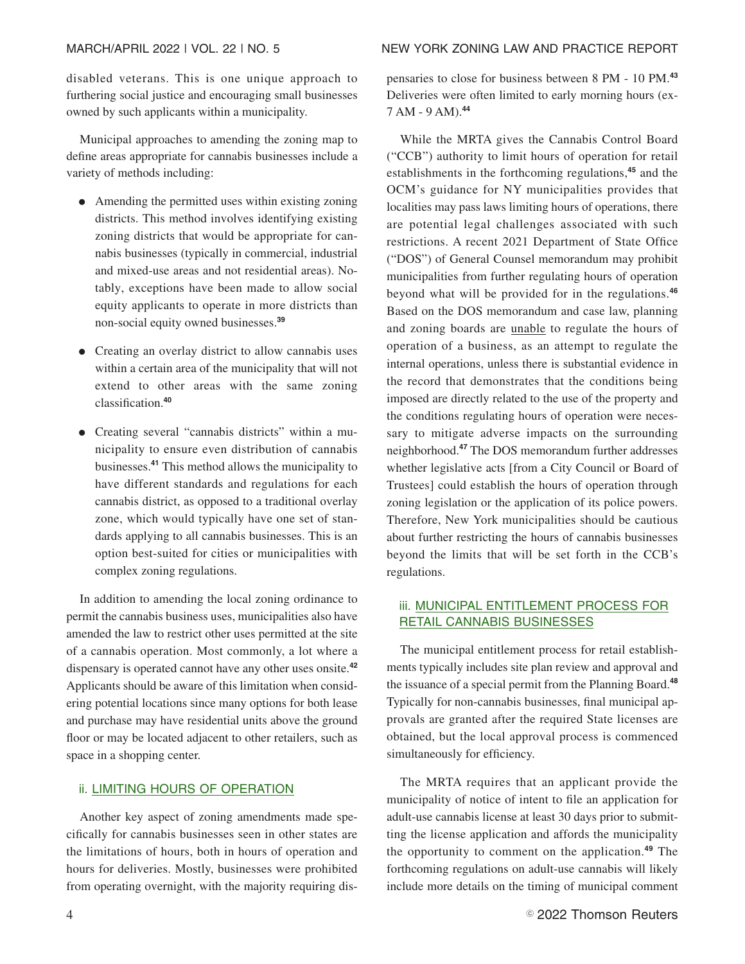disabled veterans. This is one unique approach to furthering social justice and encouraging small businesses owned by such applicants within a municipality.

Municipal approaches to amending the zoning map to define areas appropriate for cannabis businesses include a variety of methods including:

- Amending the permitted uses within existing zoning districts. This method involves identifying existing zoning districts that would be appropriate for cannabis businesses (typically in commercial, industrial and mixed-use areas and not residential areas). Notably, exceptions have been made to allow social equity applicants to operate in more districts than non-social equity owned businesses.**<sup>39</sup>**
- Creating an overlay district to allow cannabis uses within a certain area of the municipality that will not extend to other areas with the same zoning classification.**<sup>40</sup>**
- Creating several "cannabis districts" within a municipality to ensure even distribution of cannabis businesses.**<sup>41</sup>** This method allows the municipality to have different standards and regulations for each cannabis district, as opposed to a traditional overlay zone, which would typically have one set of standards applying to all cannabis businesses. This is an option best-suited for cities or municipalities with complex zoning regulations.

In addition to amending the local zoning ordinance to permit the cannabis business uses, municipalities also have amended the law to restrict other uses permitted at the site of a cannabis operation. Most commonly, a lot where a dispensary is operated cannot have any other uses onsite.**<sup>42</sup>** Applicants should be aware of this limitation when considering potential locations since many options for both lease and purchase may have residential units above the ground floor or may be located adjacent to other retailers, such as space in a shopping center.

#### ii. LIMITING HOURS OF OPERATION

Another key aspect of zoning amendments made specifically for cannabis businesses seen in other states are the limitations of hours, both in hours of operation and hours for deliveries. Mostly, businesses were prohibited from operating overnight, with the majority requiring dispensaries to close for business between 8 PM - 10 PM.**<sup>43</sup>** Deliveries were often limited to early morning hours (ex-7 AM - 9 AM).**<sup>44</sup>**

While the MRTA gives the Cannabis Control Board ("CCB") authority to limit hours of operation for retail establishments in the forthcoming regulations,**<sup>45</sup>** and the OCM's guidance for NY municipalities provides that localities may pass laws limiting hours of operations, there are potential legal challenges associated with such restrictions. A recent 2021 Department of State Office ("DOS") of General Counsel memorandum may prohibit municipalities from further regulating hours of operation beyond what will be provided for in the regulations.**<sup>46</sup>** Based on the DOS memorandum and case law, planning and zoning boards are unable to regulate the hours of operation of a business, as an attempt to regulate the internal operations, unless there is substantial evidence in the record that demonstrates that the conditions being imposed are directly related to the use of the property and the conditions regulating hours of operation were necessary to mitigate adverse impacts on the surrounding neighborhood.**<sup>47</sup>** The DOS memorandum further addresses whether legislative acts [from a City Council or Board of Trustees] could establish the hours of operation through zoning legislation or the application of its police powers. Therefore, New York municipalities should be cautious about further restricting the hours of cannabis businesses beyond the limits that will be set forth in the CCB's regulations.

#### iii. MUNICIPAL ENTITLEMENT PROCESS FOR RETAIL CANNABIS BUSINESSES

The municipal entitlement process for retail establishments typically includes site plan review and approval and the issuance of a special permit from the Planning Board.**<sup>48</sup>** Typically for non-cannabis businesses, final municipal approvals are granted after the required State licenses are obtained, but the local approval process is commenced simultaneously for efficiency.

The MRTA requires that an applicant provide the municipality of notice of intent to file an application for adult-use cannabis license at least 30 days prior to submitting the license application and affords the municipality the opportunity to comment on the application.**<sup>49</sup>** The forthcoming regulations on adult-use cannabis will likely include more details on the timing of municipal comment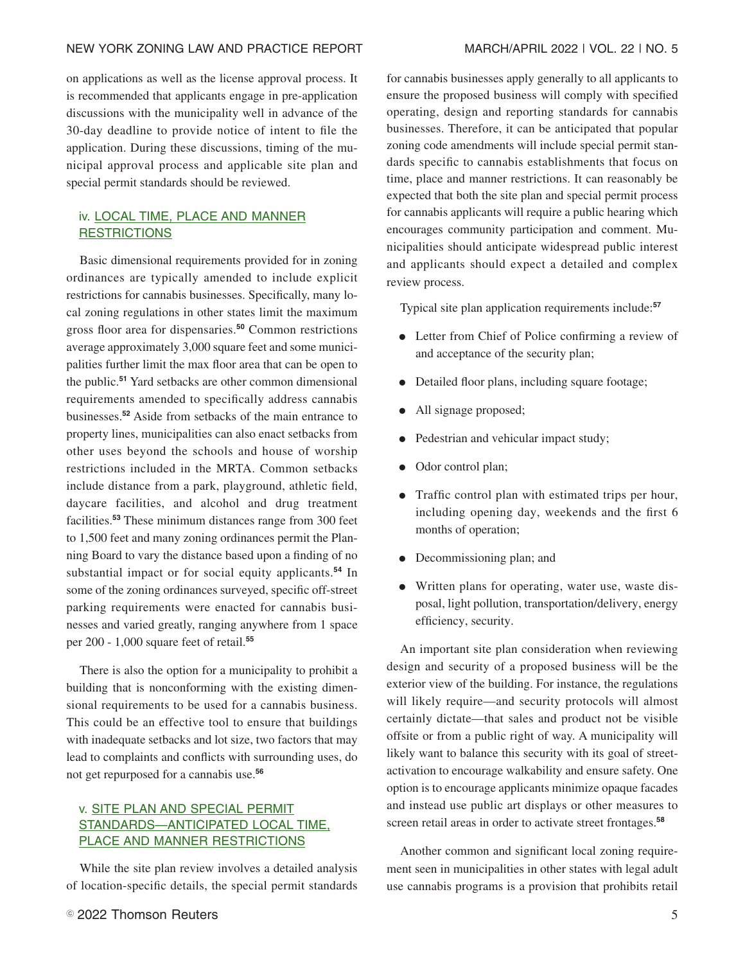#### NEW YORK ZONING LAW AND PRACTICE REPORT MARCH/APRIL 2022 | VOL. 22 | NO. 5

on applications as well as the license approval process. It is recommended that applicants engage in pre-application discussions with the municipality well in advance of the 30-day deadline to provide notice of intent to file the application. During these discussions, timing of the municipal approval process and applicable site plan and special permit standards should be reviewed.

#### iv. LOCAL TIME, PLACE AND MANNER **RESTRICTIONS**

Basic dimensional requirements provided for in zoning ordinances are typically amended to include explicit restrictions for cannabis businesses. Specifically, many local zoning regulations in other states limit the maximum gross floor area for dispensaries.**<sup>50</sup>** Common restrictions average approximately 3,000 square feet and some municipalities further limit the max floor area that can be open to the public.**<sup>51</sup>** Yard setbacks are other common dimensional requirements amended to specifically address cannabis businesses.**<sup>52</sup>** Aside from setbacks of the main entrance to property lines, municipalities can also enact setbacks from other uses beyond the schools and house of worship restrictions included in the MRTA. Common setbacks include distance from a park, playground, athletic field, daycare facilities, and alcohol and drug treatment facilities.**<sup>53</sup>** These minimum distances range from 300 feet to 1,500 feet and many zoning ordinances permit the Planning Board to vary the distance based upon a finding of no substantial impact or for social equity applicants.**<sup>54</sup>** In some of the zoning ordinances surveyed, specific off-street parking requirements were enacted for cannabis businesses and varied greatly, ranging anywhere from 1 space per 200 - 1,000 square feet of retail.**<sup>55</sup>**

There is also the option for a municipality to prohibit a building that is nonconforming with the existing dimensional requirements to be used for a cannabis business. This could be an effective tool to ensure that buildings with inadequate setbacks and lot size, two factors that may lead to complaints and conflicts with surrounding uses, do not get repurposed for a cannabis use.**<sup>56</sup>**

#### v. SITE PLAN AND SPECIAL PERMIT STANDARDS—ANTICIPATED LOCAL TIME, PLACE AND MANNER RESTRICTIONS

While the site plan review involves a detailed analysis of location-specific details, the special permit standards

for cannabis businesses apply generally to all applicants to ensure the proposed business will comply with specified operating, design and reporting standards for cannabis businesses. Therefore, it can be anticipated that popular zoning code amendments will include special permit standards specific to cannabis establishments that focus on time, place and manner restrictions. It can reasonably be expected that both the site plan and special permit process for cannabis applicants will require a public hearing which encourages community participation and comment. Municipalities should anticipate widespread public interest and applicants should expect a detailed and complex review process.

Typical site plan application requirements include:**<sup>57</sup>**

- Letter from Chief of Police confirming a review of and acceptance of the security plan;
- Detailed floor plans, including square footage;
- All signage proposed;
- Pedestrian and vehicular impact study;
- Odor control plan;
- Traffic control plan with estimated trips per hour, including opening day, weekends and the first 6 months of operation;
- Decommissioning plan; and
- Written plans for operating, water use, waste disposal, light pollution, transportation/delivery, energy efficiency, security.

An important site plan consideration when reviewing design and security of a proposed business will be the exterior view of the building. For instance, the regulations will likely require—and security protocols will almost certainly dictate—that sales and product not be visible offsite or from a public right of way. A municipality will likely want to balance this security with its goal of streetactivation to encourage walkability and ensure safety. One option is to encourage applicants minimize opaque facades and instead use public art displays or other measures to screen retail areas in order to activate street frontages.**<sup>58</sup>**

Another common and significant local zoning requirement seen in municipalities in other states with legal adult use cannabis programs is a provision that prohibits retail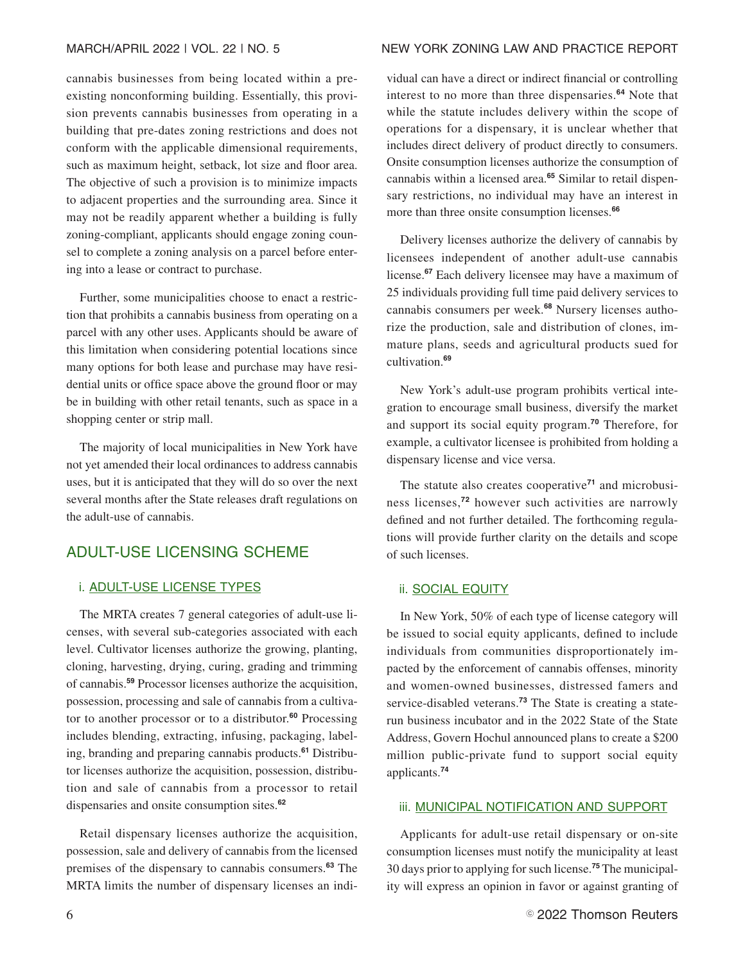cannabis businesses from being located within a preexisting nonconforming building. Essentially, this provision prevents cannabis businesses from operating in a building that pre-dates zoning restrictions and does not conform with the applicable dimensional requirements, such as maximum height, setback, lot size and floor area. The objective of such a provision is to minimize impacts to adjacent properties and the surrounding area. Since it may not be readily apparent whether a building is fully zoning-compliant, applicants should engage zoning counsel to complete a zoning analysis on a parcel before entering into a lease or contract to purchase.

Further, some municipalities choose to enact a restriction that prohibits a cannabis business from operating on a parcel with any other uses. Applicants should be aware of this limitation when considering potential locations since many options for both lease and purchase may have residential units or office space above the ground floor or may be in building with other retail tenants, such as space in a shopping center or strip mall.

The majority of local municipalities in New York have not yet amended their local ordinances to address cannabis uses, but it is anticipated that they will do so over the next several months after the State releases draft regulations on the adult-use of cannabis.

# ADULT-USE LICENSING SCHEME

#### i. ADULT-USE LICENSE TYPES

The MRTA creates 7 general categories of adult-use licenses, with several sub-categories associated with each level. Cultivator licenses authorize the growing, planting, cloning, harvesting, drying, curing, grading and trimming of cannabis.**<sup>59</sup>** Processor licenses authorize the acquisition, possession, processing and sale of cannabis from a cultivator to another processor or to a distributor.**<sup>60</sup>** Processing includes blending, extracting, infusing, packaging, labeling, branding and preparing cannabis products.**<sup>61</sup>** Distributor licenses authorize the acquisition, possession, distribution and sale of cannabis from a processor to retail dispensaries and onsite consumption sites.**<sup>62</sup>**

Retail dispensary licenses authorize the acquisition, possession, sale and delivery of cannabis from the licensed premises of the dispensary to cannabis consumers.**<sup>63</sup>** The MRTA limits the number of dispensary licenses an indi-

#### MARCH/APRIL 2022 | VOL. 22 | NO. 5 NEW YORK ZONING LAW AND PRACTICE REPORT

vidual can have a direct or indirect financial or controlling interest to no more than three dispensaries.**<sup>64</sup>** Note that while the statute includes delivery within the scope of operations for a dispensary, it is unclear whether that includes direct delivery of product directly to consumers. Onsite consumption licenses authorize the consumption of cannabis within a licensed area.**<sup>65</sup>** Similar to retail dispensary restrictions, no individual may have an interest in more than three onsite consumption licenses.**<sup>66</sup>**

Delivery licenses authorize the delivery of cannabis by licensees independent of another adult-use cannabis license.**<sup>67</sup>** Each delivery licensee may have a maximum of 25 individuals providing full time paid delivery services to cannabis consumers per week.**<sup>68</sup>** Nursery licenses authorize the production, sale and distribution of clones, immature plans, seeds and agricultural products sued for cultivation.**<sup>69</sup>**

New York's adult-use program prohibits vertical integration to encourage small business, diversify the market and support its social equity program.**<sup>70</sup>** Therefore, for example, a cultivator licensee is prohibited from holding a dispensary license and vice versa.

The statute also creates cooperative**<sup>71</sup>** and microbusiness licenses,**<sup>72</sup>** however such activities are narrowly defined and not further detailed. The forthcoming regulations will provide further clarity on the details and scope of such licenses.

#### ii. SOCIAL EQUITY

In New York, 50% of each type of license category will be issued to social equity applicants, defined to include individuals from communities disproportionately impacted by the enforcement of cannabis offenses, minority and women-owned businesses, distressed famers and service-disabled veterans.**<sup>73</sup>** The State is creating a staterun business incubator and in the 2022 State of the State Address, Govern Hochul announced plans to create a \$200 million public-private fund to support social equity applicants.**<sup>74</sup>**

#### **iii. MUNICIPAL NOTIFICATION AND SUPPORT**

Applicants for adult-use retail dispensary or on-site consumption licenses must notify the municipality at least 30 days prior to applying for such license.**<sup>75</sup>** The municipality will express an opinion in favor or against granting of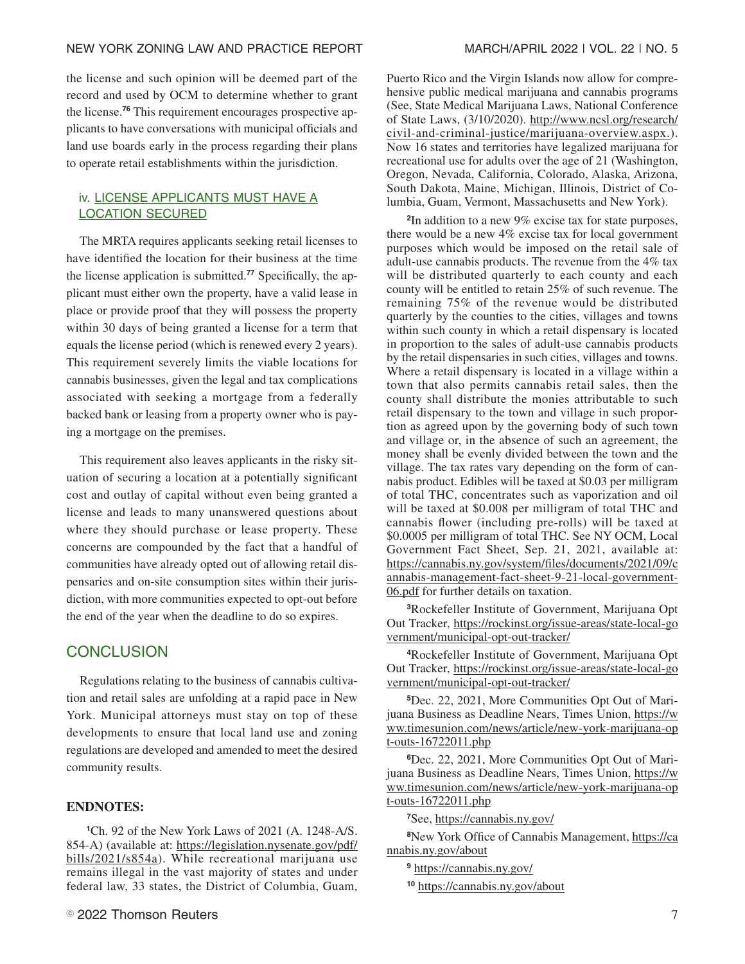the license and such opinion will be deemed part of the record and used by OCM to determine whether to grant the license.**<sup>76</sup>** This requirement encourages prospective applicants to have conversations with municipal officials and land use boards early in the process regarding their plans to operate retail establishments within the jurisdiction.

#### iv. LICENSE APPLICANTS MUST HAVE A LOCATION SECURED

The MRTA requires applicants seeking retail licenses to have identified the location for their business at the time the license application is submitted.**<sup>77</sup>** Specifically, the applicant must either own the property, have a valid lease in place or provide proof that they will possess the property within 30 days of being granted a license for a term that equals the license period (which is renewed every 2 years). This requirement severely limits the viable locations for cannabis businesses, given the legal and tax complications associated with seeking a mortgage from a federally backed bank or leasing from a property owner who is paying a mortgage on the premises.

This requirement also leaves applicants in the risky situation of securing a location at a potentially significant cost and outlay of capital without even being granted a license and leads to many unanswered questions about where they should purchase or lease property. These concerns are compounded by the fact that a handful of communities have already opted out of allowing retail dispensaries and on-site consumption sites within their jurisdiction, with more communities expected to opt-out before the end of the year when the deadline to do so expires.

#### **CONCLUSION**

Regulations relating to the business of cannabis cultivation and retail sales are unfolding at a rapid pace in New York. Municipal attorneys must stay on top of these developments to ensure that local land use and zoning regulations are developed and amended to meet the desired community results.

#### **ENDNOTES:**

**<sup>1</sup>**Ch. 92 of the New York Laws of 2021 (A. 1248-A/S. 854-A) (available at: https://legislation.nysenate.gov/pdf/ bills/2021/s854a). While recreational marijuana use remains illegal in the vast majority of states and under federal law, 33 states, the District of Columbia, Guam, Puerto Rico and the Virgin Islands now allow for comprehensive public medical marijuana and cannabis programs (See, State Medical Marijuana Laws, National Conference of State Laws, (3/10/2020). http://www.ncsl.org/research/ civil-and-criminal-justice/marijuana-overview.aspx.). Now 16 states and territories have legalized marijuana for recreational use for adults over the age of 21 (Washington, Oregon, Nevada, California, Colorado, Alaska, Arizona, South Dakota, Maine, Michigan, Illinois, District of Columbia, Guam, Vermont, Massachusetts and New York).

**2** In addition to a new 9% excise tax for state purposes, there would be a new 4% excise tax for local government purposes which would be imposed on the retail sale of adult-use cannabis products. The revenue from the 4% tax will be distributed quarterly to each county and each county will be entitled to retain 25% of such revenue. The remaining 75% of the revenue would be distributed quarterly by the counties to the cities, villages and towns within such county in which a retail dispensary is located in proportion to the sales of adult-use cannabis products by the retail dispensaries in such cities, villages and towns. Where a retail dispensary is located in a village within a town that also permits cannabis retail sales, then the county shall distribute the monies attributable to such retail dispensary to the town and village in such proportion as agreed upon by the governing body of such town and village or, in the absence of such an agreement, the money shall be evenly divided between the town and the village. The tax rates vary depending on the form of cannabis product. Edibles will be taxed at \$0.03 per milligram of total THC, concentrates such as vaporization and oil will be taxed at \$0.008 per milligram of total THC and cannabis flower (including pre-rolls) will be taxed at \$0.0005 per milligram of total THC. See NY OCM, Local Government Fact Sheet, Sep. 21, 2021, available at: https://cannabis.ny.gov/system/files/documents/2021/09/c annabis-management-fact-sheet-9-21-local-government-06.pdf for further details on taxation.

**<sup>3</sup>**Rockefeller Institute of Government, Marijuana Opt Out Tracker, https://rockinst.org/issue-areas/state-local-go vernment/municipal-opt-out-tracker/

**<sup>4</sup>**Rockefeller Institute of Government, Marijuana Opt Out Tracker, https://rockinst.org/issue-areas/state-local-go vernment/municipal-opt-out-tracker/

**5**Dec. 22, 2021, More Communities Opt Out of Marijuana Business as Deadline Nears, Times Union, https://w ww.timesunion.com/news/article/new-york-marijuana-op t-outs-16722011.php

**6**Dec. 22, 2021, More Communities Opt Out of Marijuana Business as Deadline Nears, Times Union, https://w ww.timesunion.com/news/article/new-york-marijuana-op t-outs-16722011.php

**<sup>7</sup>**See, https://cannabis.ny.gov/

**<sup>8</sup>**New York Office of Cannabis Management, https://ca nnabis.ny.gov/about

**<sup>9</sup>** https://cannabis.ny.gov/

**<sup>10</sup>** https://cannabis.ny.gov/about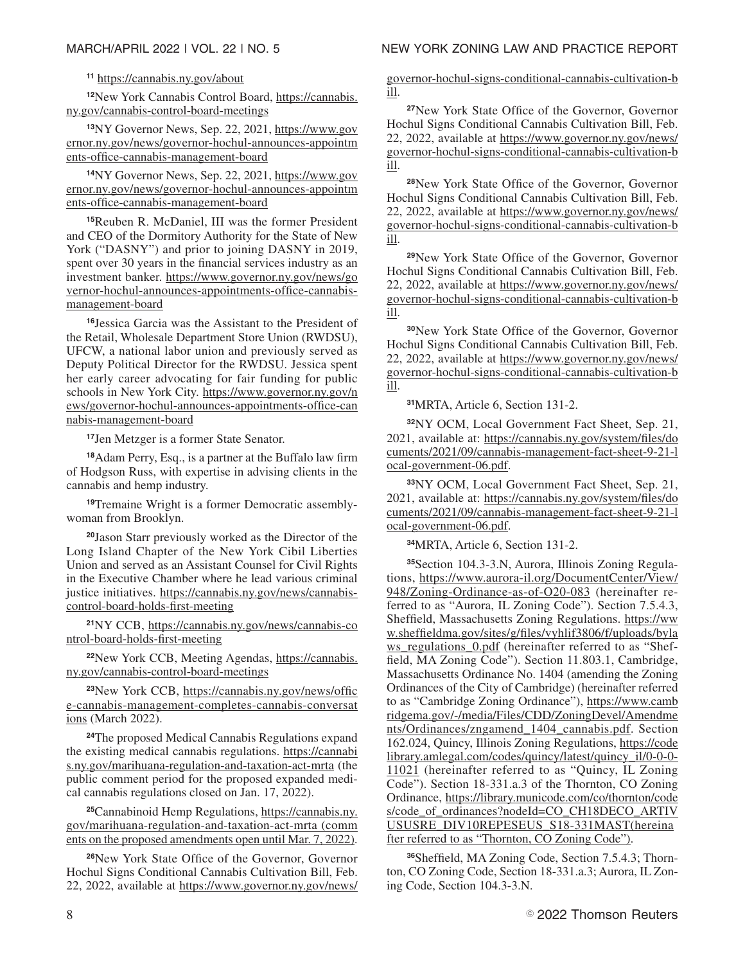#### **<sup>11</sup>** https://cannabis.ny.gov/about

**<sup>12</sup>**New York Cannabis Control Board, https://cannabis. ny.gov/cannabis-control-board-meetings

**<sup>13</sup>**NY Governor News, Sep. 22, 2021, https://www.gov ernor.ny.gov/news/governor-hochul-announces-appointm ents-office-cannabis-management-board

**<sup>14</sup>**NY Governor News, Sep. 22, 2021, https://www.gov ernor.ny.gov/news/governor-hochul-announces-appointm ents-office-cannabis-management-board

**<sup>15</sup>**Reuben R. McDaniel, III was the former President and CEO of the Dormitory Authority for the State of New York ("DASNY") and prior to joining DASNY in 2019, spent over 30 years in the financial services industry as an investment banker. https://www.governor.ny.gov/news/go vernor-hochul-announces-appointments-office-cannabismanagement-board

**<sup>16</sup>**Jessica Garcia was the Assistant to the President of the Retail, Wholesale Department Store Union (RWDSU), UFCW, a national labor union and previously served as Deputy Political Director for the RWDSU. Jessica spent her early career advocating for fair funding for public schools in New York City. https://www.governor.ny.gov/n ews/governor-hochul-announces-appointments-office-can nabis-management-board

**<sup>17</sup>**Jen Metzger is a former State Senator.

**<sup>18</sup>**Adam Perry, Esq., is a partner at the Buffalo law firm of Hodgson Russ, with expertise in advising clients in the cannabis and hemp industry.

**19**Tremaine Wright is a former Democratic assemblywoman from Brooklyn.

**<sup>20</sup>**Jason Starr previously worked as the Director of the Long Island Chapter of the New York Cibil Liberties Union and served as an Assistant Counsel for Civil Rights in the Executive Chamber where he lead various criminal justice initiatives. https://cannabis.ny.gov/news/cannabiscontrol-board-holds-first-meeting

**<sup>21</sup>**NY CCB, https://cannabis.ny.gov/news/cannabis-co ntrol-board-holds-first-meeting

**<sup>22</sup>**New York CCB, Meeting Agendas, https://cannabis. ny.gov/cannabis-control-board-meetings

**<sup>23</sup>**New York CCB, https://cannabis.ny.gov/news/offic e-cannabis-management-completes-cannabis-conversat ions (March 2022).

**<sup>24</sup>**The proposed Medical Cannabis Regulations expand the existing medical cannabis regulations. https://cannabi s.ny.gov/marihuana-regulation-and-taxation-act-mrta (the public comment period for the proposed expanded medical cannabis regulations closed on Jan. 17, 2022).

**<sup>25</sup>**Cannabinoid Hemp Regulations, https://cannabis.ny. gov/marihuana-regulation-and-taxation-act-mrta (comm ents on the proposed amendments open until Mar. 7, 2022).

**<sup>26</sup>**New York State Office of the Governor, Governor Hochul Signs Conditional Cannabis Cultivation Bill, Feb. 22, 2022, available at https://www.governor.ny.gov/news/

governor-hochul-signs-conditional-cannabis-cultivation-b ill.

**<sup>27</sup>**New York State Office of the Governor, Governor Hochul Signs Conditional Cannabis Cultivation Bill, Feb. 22, 2022, available at https://www.governor.ny.gov/news/ governor-hochul-signs-conditional-cannabis-cultivation-b ill.

**<sup>28</sup>**New York State Office of the Governor, Governor Hochul Signs Conditional Cannabis Cultivation Bill, Feb. 22, 2022, available at https://www.governor.ny.gov/news/ governor-hochul-signs-conditional-cannabis-cultivation-b ill.

**<sup>29</sup>**New York State Office of the Governor, Governor Hochul Signs Conditional Cannabis Cultivation Bill, Feb. 22, 2022, available at https://www.governor.ny.gov/news/ governor-hochul-signs-conditional-cannabis-cultivation-b ill.

**<sup>30</sup>**New York State Office of the Governor, Governor Hochul Signs Conditional Cannabis Cultivation Bill, Feb. 22, 2022, available at https://www.governor.ny.gov/news/ governor-hochul-signs-conditional-cannabis-cultivation-b ill.

**<sup>31</sup>**MRTA, Article 6, Section 131-2.

**<sup>32</sup>**NY OCM, Local Government Fact Sheet, Sep. 21, 2021, available at: https://cannabis.ny.gov/system/files/do cuments/2021/09/cannabis-management-fact-sheet-9-21-l ocal-government-06.pdf.

**<sup>33</sup>**NY OCM, Local Government Fact Sheet, Sep. 21, 2021, available at: https://cannabis.ny.gov/system/files/do cuments/2021/09/cannabis-management-fact-sheet-9-21-l ocal-government-06.pdf.

**<sup>34</sup>**MRTA, Article 6, Section 131-2.

**35**Section 104.3-3.N, Aurora, Illinois Zoning Regulations, https://www.aurora-il.org/DocumentCenter/View/ 948/Zoning-Ordinance-as-of-O20-083 (hereinafter referred to as "Aurora, IL Zoning Code"). Section 7.5.4.3, Sheffield, Massachusetts Zoning Regulations. https://ww w.sheffieldma.gov/sites/g/files/vyhlif3806/f/uploads/byla ws\_regulations\_0.pdf (hereinafter referred to as "Sheffield, MA Zoning Code"). Section 11.803.1, Cambridge, Massachusetts Ordinance No. 1404 (amending the Zoning Ordinances of the City of Cambridge) (hereinafter referred to as "Cambridge Zoning Ordinance"), https://www.camb ridgema.gov/-/media/Files/CDD/ZoningDevel/Amendme nts/Ordinances/zngamend\_1404\_cannabis.pdf. Section 162.024, Quincy, Illinois Zoning Regulations, https://code library.amlegal.com/codes/quincy/latest/quincy\_il/0-0-0- 11021 (hereinafter referred to as "Quincy, IL Zoning Code"). Section 18-331.a.3 of the Thornton, CO Zoning Ordinance, https://library.municode.com/co/thornton/code s/code\_of\_ordinances?nodeId=CO\_CH18DECO\_ARTIV USUSRE\_DIV10REPESEUS\_S18-331MAST(hereina fter referred to as "Thornton, CO Zoning Code").

**36**Sheffield, MA Zoning Code, Section 7.5.4.3; Thornton, CO Zoning Code, Section 18-331.a.3; Aurora, IL Zoning Code, Section 104.3-3.N.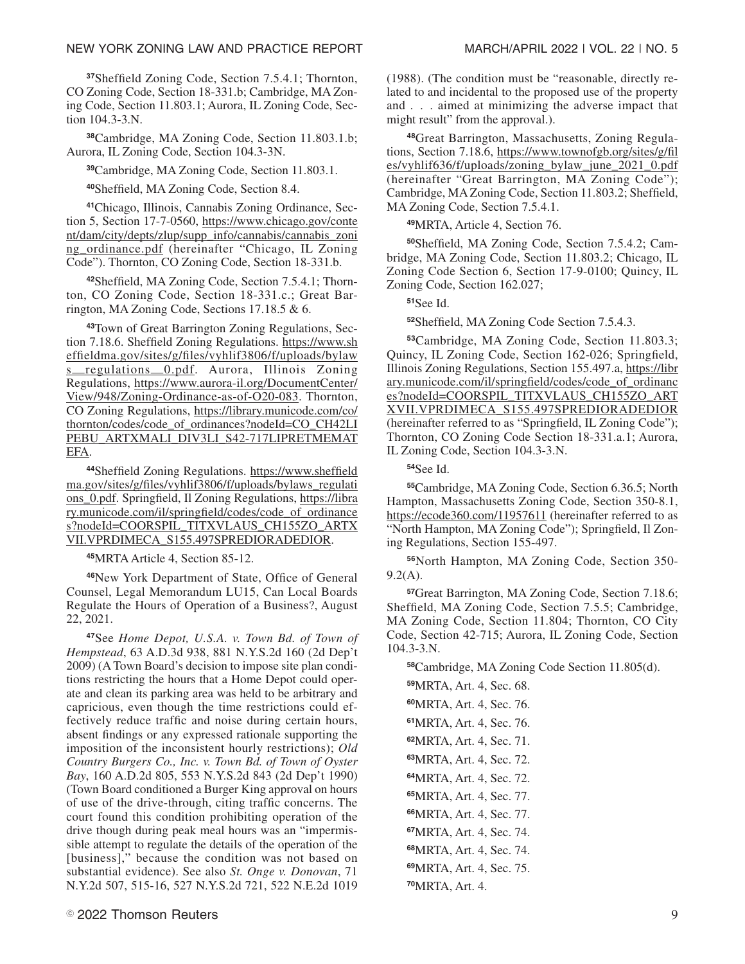**<sup>37</sup>**Sheffield Zoning Code, Section 7.5.4.1; Thornton, CO Zoning Code, Section 18-331.b; Cambridge, MA Zoning Code, Section 11.803.1; Aurora, IL Zoning Code, Section 104.3-3.N.

**<sup>38</sup>**Cambridge, MA Zoning Code, Section 11.803.1.b; Aurora, IL Zoning Code, Section 104.3-3N.

**<sup>39</sup>**Cambridge, MA Zoning Code, Section 11.803.1.

**<sup>40</sup>**Sheffield, MA Zoning Code, Section 8.4.

**41**Chicago, Illinois, Cannabis Zoning Ordinance, Section 5, Section 17-7-0560, https://www.chicago.gov/conte nt/dam/city/depts/zlup/supp\_info/cannabis/cannabis\_zoni ng\_ordinance.pdf (hereinafter "Chicago, IL Zoning Code"). Thornton, CO Zoning Code, Section 18-331.b.

**42**Sheffield, MA Zoning Code, Section 7.5.4.1; Thornton, CO Zoning Code, Section 18-331.c.; Great Barrington, MA Zoning Code, Sections 17.18.5 & 6.

**43**Town of Great Barrington Zoning Regulations, Section 7.18.6. Sheffield Zoning Regulations. https://www.sh effieldma.gov/sites/g/files/vyhlif3806/f/uploads/bylaw s—regulations—0.pdf. Aurora, Illinois Zoning Regulations, https://www.aurora-il.org/DocumentCenter/ View/948/Zoning-Ordinance-as-of-O20-083. Thornton, CO Zoning Regulations, https://library.municode.com/co/ thornton/codes/code\_of\_ordinances?nodeId=CO\_CH42LI PEBU\_ARTXMALI\_DIV3LI\_S42-717LIPRETMEMAT EFA.

**<sup>44</sup>**Sheffield Zoning Regulations. https://www.sheffield ma.gov/sites/g/files/vyhlif3806/f/uploads/bylaws\_regulati ons\_0.pdf. Springfield, Il Zoning Regulations, https://libra ry.municode.com/il/springfield/codes/code\_of\_ordinance s?nodeId=COORSPIL\_TITXVLAUS\_CH155ZO\_ARTX VII.VPRDIMECA\_S155.497SPREDIORADEDIOR.

**<sup>45</sup>**MRTA Article 4, Section 85-12.

**<sup>46</sup>**New York Department of State, Office of General Counsel, Legal Memorandum LU15, Can Local Boards Regulate the Hours of Operation of a Business?, August 22, 2021.

**<sup>47</sup>**See *Home Depot, U.S.A. v. Town Bd. of Town of Hempstead*, 63 A.D.3d 938, 881 N.Y.S.2d 160 (2d Dep't 2009) (A Town Board's decision to impose site plan conditions restricting the hours that a Home Depot could operate and clean its parking area was held to be arbitrary and capricious, even though the time restrictions could effectively reduce traffic and noise during certain hours, absent findings or any expressed rationale supporting the imposition of the inconsistent hourly restrictions); *Old Country Burgers Co., Inc. v. Town Bd. of Town of Oyster Bay*, 160 A.D.2d 805, 553 N.Y.S.2d 843 (2d Dep't 1990) (Town Board conditioned a Burger King approval on hours of use of the drive-through, citing traffic concerns. The court found this condition prohibiting operation of the drive though during peak meal hours was an "impermissible attempt to regulate the details of the operation of the [business]," because the condition was not based on substantial evidence). See also *St. Onge v. Donovan*, 71 N.Y.2d 507, 515-16, 527 N.Y.S.2d 721, 522 N.E.2d 1019

(1988). (The condition must be "reasonable, directly related to and incidental to the proposed use of the property and . . . aimed at minimizing the adverse impact that might result" from the approval.).

**48**Great Barrington, Massachusetts, Zoning Regulations, Section 7.18.6, https://www.townofgb.org/sites/g/fil es/vyhlif636/f/uploads/zoning\_bylaw\_june\_2021\_0.pdf (hereinafter "Great Barrington, MA Zoning Code"); Cambridge, MA Zoning Code, Section 11.803.2; Sheffield, MA Zoning Code, Section 7.5.4.1.

**<sup>49</sup>**MRTA, Article 4, Section 76.

**50**Sheffield, MA Zoning Code, Section 7.5.4.2; Cambridge, MA Zoning Code, Section 11.803.2; Chicago, IL Zoning Code Section 6, Section 17-9-0100; Quincy, IL Zoning Code, Section 162.027;

**<sup>51</sup>**See Id.

**<sup>52</sup>**Sheffield, MA Zoning Code Section 7.5.4.3.

**<sup>53</sup>**Cambridge, MA Zoning Code, Section 11.803.3; Quincy, IL Zoning Code, Section 162-026; Springfield, Illinois Zoning Regulations, Section 155.497.a, https://libr ary.municode.com/il/springfield/codes/code\_of\_ordinanc es?nodeId=COORSPIL\_TITXVLAUS\_CH155ZO\_ART XVII.VPRDIMECA\_S155.497SPREDIORADEDIOR (hereinafter referred to as "Springfield, IL Zoning Code"); Thornton, CO Zoning Code Section 18-331.a.1; Aurora, IL Zoning Code, Section 104.3-3.N.

**<sup>54</sup>**See Id.

**<sup>55</sup>**Cambridge, MA Zoning Code, Section 6.36.5; North Hampton, Massachusetts Zoning Code, Section 350-8.1, https://ecode360.com/11957611 (hereinafter referred to as "North Hampton, MA Zoning Code"); Springfield, Il Zoning Regulations, Section 155-497.

**<sup>56</sup>**North Hampton, MA Zoning Code, Section 350- 9.2(A).

**<sup>57</sup>**Great Barrington, MA Zoning Code, Section 7.18.6; Sheffield, MA Zoning Code, Section 7.5.5; Cambridge, MA Zoning Code, Section 11.804; Thornton, CO City Code, Section 42-715; Aurora, IL Zoning Code, Section 104.3-3.N.

**<sup>58</sup>**Cambridge, MA Zoning Code Section 11.805(d).

MRTA, Art. 4, Sec. 68. MRTA, Art. 4, Sec. 76. MRTA, Art. 4, Sec. 76. MRTA, Art. 4, Sec. 71. MRTA, Art. 4, Sec. 72. MRTA, Art. 4, Sec. 72. MRTA, Art. 4, Sec. 77. MRTA, Art. 4, Sec. 77. MRTA, Art. 4, Sec. 74. MRTA, Art. 4, Sec. 74. MRTA, Art. 4, Sec. 75. MRTA, Art. 4.